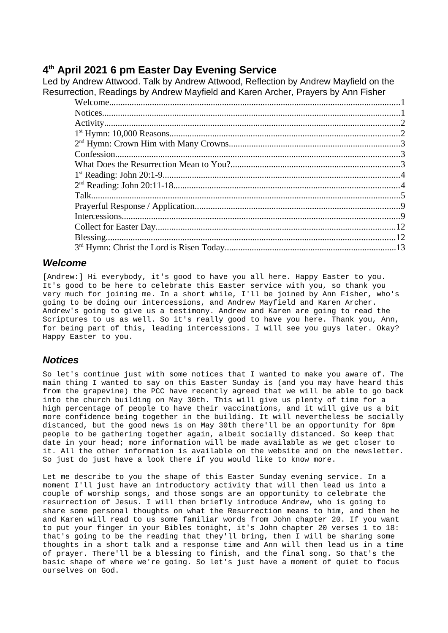# **4 th April 2021 6 pm Easter Day Evening Service**

Led by Andrew Attwood. Talk by Andrew Attwood, Reflection by Andrew Mayfield on the Resurrection, Readings by Andrew Mayfield and Karen Archer, Prayers by Ann Fisher

# <span id="page-0-1"></span>*Welcome*

[Andrew:] Hi everybody, it's good to have you all here. Happy Easter to you. It's good to be here to celebrate this Easter service with you, so thank you very much for joining me. In a short while, I'll be joined by Ann Fisher, who's going to be doing our intercessions, and Andrew Mayfield and Karen Archer. Andrew's going to give us a testimony. Andrew and Karen are going to read the Scriptures to us as well. So it's really good to have you here. Thank you, Ann, for being part of this, leading intercessions. I will see you guys later. Okay? Happy Easter to you.

# <span id="page-0-0"></span>*Notices*

So let's continue just with some notices that I wanted to make you aware of. The main thing I wanted to say on this Easter Sunday is (and you may have heard this from the grapevine) the PCC have recently agreed that we will be able to go back into the church building on May 30th. This will give us plenty of time for a high percentage of people to have their vaccinations, and it will give us a bit more confidence being together in the building. It will nevertheless be socially distanced, but the good news is on May 30th there'll be an opportunity for 6pm people to be gathering together again, albeit socially distanced. So keep that date in your head; more information will be made available as we get closer to it. All the other information is available on the website and on the newsletter. So just do just have a look there if you would like to know more.

Let me describe to you the shape of this Easter Sunday evening service. In a moment I'll just have an introductory activity that will then lead us into a couple of worship songs, and those songs are an opportunity to celebrate the resurrection of Jesus. I will then briefly introduce Andrew, who is going to share some personal thoughts on what the Resurrection means to him, and then he and Karen will read to us some familiar words from John chapter 20. If you want to put your finger in your Bibles tonight, it's John chapter 20 verses 1 to 18: that's going to be the reading that they'll bring, then I will be sharing some thoughts in a short talk and a response time and Ann will then lead us in a time of prayer. There'll be a blessing to finish, and the final song. So that's the basic shape of where we're going. So let's just have a moment of quiet to focus ourselves on God.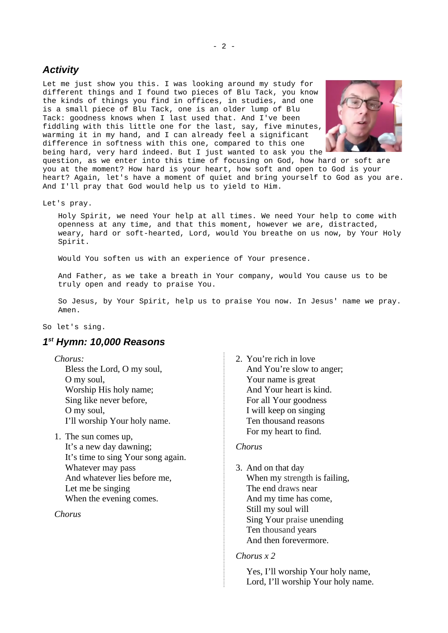# <span id="page-1-1"></span>*Activity*

Let me just show you this. I was looking around my study for different things and I found two pieces of Blu Tack, you know the kinds of things you find in offices, in studies, and one is a small piece of Blu Tack, one is an older lump of Blu Tack: goodness knows when I last used that. And I've been fiddling with this little one for the last, say, five minutes, warming it in my hand, and I can already feel a significant difference in softness with this one, compared to this one being hard, very hard indeed. But I just wanted to ask you the



question, as we enter into this time of focusing on God, how hard or soft are you at the moment? How hard is your heart, how soft and open to God is your heart? Again, let's have a moment of quiet and bring yourself to God as you are. And I'll pray that God would help us to yield to Him.

### Let's pray.

Holy Spirit, we need Your help at all times. We need Your help to come with openness at any time, and that this moment, however we are, distracted, weary, hard or soft-hearted, Lord, would You breathe on us now, by Your Holy Spirit.

Would You soften us with an experience of Your presence.

And Father, as we take a breath in Your company, would You cause us to be truly open and ready to praise You.

So Jesus, by Your Spirit, help us to praise You now. In Jesus' name we pray. Amen.

So let's sing.

# <span id="page-1-0"></span>*1 st Hymn: 10,000 Reasons*

### *Chorus:*

- Bless the Lord, O my soul, O my soul, Worship His holy name; Sing like never before, O my soul, I'll worship Your holy name.
- 1. The sun comes up, It's a new day dawning; It's time to sing Your song again. Whatever may pass And whatever lies before me, Let me be singing When the evening comes.

*Chorus*

2. You're rich in love And You're slow to anger; Your name is great And Your heart is kind. For all Your goodness I will keep on singing Ten thousand reasons For my heart to find.

### *Chorus*

3. And on that day When my [strength](https://www.definitions.net/definition/strength) is failing, The end [draws](https://www.definitions.net/definition/draws) near And my time has come, Still my soul will Sing Your [praise](https://www.definitions.net/definition/praise) unending Ten [thousand](https://www.definitions.net/definition/thousand) years And then forevermore.

### *Chorus x 2*

Yes, I'll worship Your holy name, Lord, I'll worship Your holy name.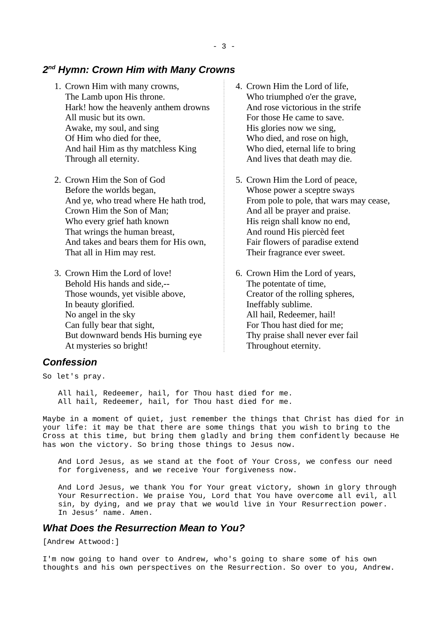# <span id="page-2-2"></span>*2 nd Hymn: Crown Him with Many Crowns*

- 1. Crown Him with many crowns, The Lamb upon His throne. Hark! how the heavenly anthem drowns All music but its own. Awake, my soul, and sing Of Him who died for thee, And hail Him as thy matchless King Through all eternity.
- 2. Crown Him the Son of God Before the worlds began, And ye, who tread where He hath trod, Crown Him the Son of Man; Who every grief hath known That wrings the human breast, And takes and bears them for His own, That all in Him may rest.
- 3. Crown Him the Lord of love! Behold His hands and side,-- Those wounds, yet visible above, In beauty glorified. No angel in the sky Can fully bear that sight, But downward bends His burning eye At mysteries so bright!
- 4. Crown Him the Lord of life, Who triumphed o'er the grave. And rose victorious in the strife For those He came to save. His glories now we sing, Who died, and rose on high, Who died, eternal life to bring And lives that death may die.
- 5. Crown Him the Lord of peace, Whose power a sceptre sways From pole to pole, that wars may cease, And all be prayer and praise. His reign shall know no end, And round His piercèd feet Fair flowers of paradise extend Their fragrance ever sweet.
- 6. Crown Him the Lord of years, The potentate of time, Creator of the rolling spheres, Ineffably sublime. All hail, Redeemer, hail! For Thou hast died for me; Thy praise shall never ever fail Throughout eternity.

# <span id="page-2-1"></span>*Confession*

So let's pray.

All hail, Redeemer, hail, for Thou hast died for me. All hail, Redeemer, hail, for Thou hast died for me.

Maybe in a moment of quiet, just remember the things that Christ has died for in your life: it may be that there are some things that you wish to bring to the Cross at this time, but bring them gladly and bring them confidently because He has won the victory. So bring those things to Jesus now.

And Lord Jesus, as we stand at the foot of Your Cross, we confess our need for forgiveness, and we receive Your forgiveness now.

And Lord Jesus, we thank You for Your great victory, shown in glory through Your Resurrection. We praise You, Lord that You have overcome all evil, all sin, by dying, and we pray that we would live in Your Resurrection power. In Jesus' name. Amen.

# <span id="page-2-0"></span>*What Does the Resurrection Mean to You?*

[Andrew Attwood:]

I'm now going to hand over to Andrew, who's going to share some of his own thoughts and his own perspectives on the Resurrection. So over to you, Andrew.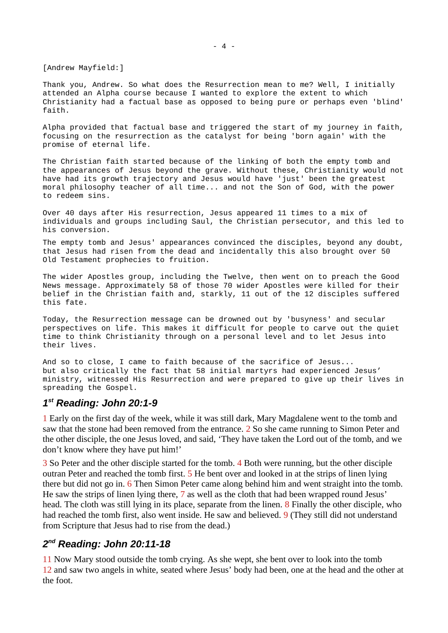[Andrew Mayfield:]

Thank you, Andrew. So what does the Resurrection mean to me? Well, I initially attended an Alpha course because I wanted to explore the extent to which Christianity had a factual base as opposed to being pure or perhaps even 'blind' faith.

Alpha provided that factual base and triggered the start of my journey in faith, focusing on the resurrection as the catalyst for being 'born again' with the promise of eternal life.

The Christian faith started because of the linking of both the empty tomb and the appearances of Jesus beyond the grave. Without these, Christianity would not have had its growth trajectory and Jesus would have 'just' been the greatest moral philosophy teacher of all time... and not the Son of God, with the power to redeem sins.

Over 40 days after His resurrection, Jesus appeared 11 times to a mix of individuals and groups including Saul, the Christian persecutor, and this led to his conversion.

The empty tomb and Jesus' appearances convinced the disciples, beyond any doubt, that Jesus had risen from the dead and incidentally this also brought over 50 Old Testament prophecies to fruition.

The wider Apostles group, including the Twelve, then went on to preach the Good News message. Approximately 58 of those 70 wider Apostles were killed for their belief in the Christian faith and, starkly, 11 out of the 12 disciples suffered this fate.

Today, the Resurrection message can be drowned out by 'busyness' and secular perspectives on life. This makes it difficult for people to carve out the quiet time to think Christianity through on a personal level and to let Jesus into their lives.

And so to close, I came to faith because of the sacrifice of Jesus... but also critically the fact that 58 initial martyrs had experienced Jesus' ministry, witnessed His Resurrection and were prepared to give up their lives in spreading the Gospel.

# <span id="page-3-1"></span>*1 st Reading: John 20:1-9*

1 Early on the first day of the week, while it was still dark, Mary Magdalene went to the tomb and saw that the stone had been removed from the entrance. 2 So she came running to Simon Peter and the other disciple, the one Jesus loved, and said, 'They have taken the Lord out of the tomb, and we don't know where they have put him!'

3 So Peter and the other disciple started for the tomb. 4 Both were running, but the other disciple outran Peter and reached the tomb first. 5 He bent over and looked in at the strips of linen lying there but did not go in. 6 Then Simon Peter came along behind him and went straight into the tomb. He saw the strips of linen lying there, 7 as well as the cloth that had been wrapped round Jesus' head. The cloth was still lying in its place, separate from the linen. 8 Finally the other disciple, who had reached the tomb first, also went inside. He saw and believed. 9 (They still did not understand from Scripture that Jesus had to rise from the dead.)

# <span id="page-3-0"></span>*2 nd Reading: John 20:11-18*

11 Now Mary stood outside the tomb crying. As she wept, she bent over to look into the tomb 12 and saw two angels in white, seated where Jesus' body had been, one at the head and the other at the foot.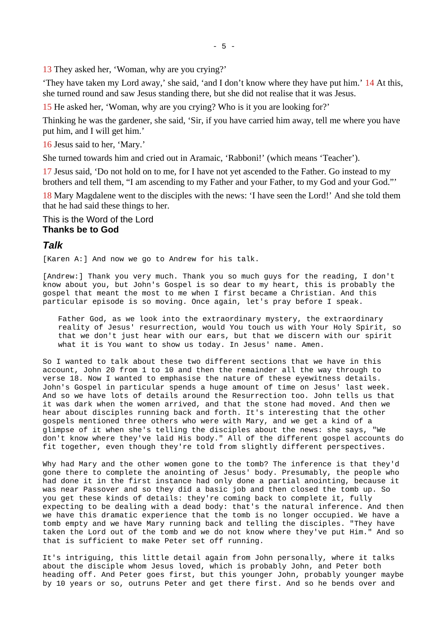13 They asked her, 'Woman, why are you crying?'

'They have taken my Lord away,' she said, 'and I don't know where they have put him.' 14 At this, she turned round and saw Jesus standing there, but she did not realise that it was Jesus.

15 He asked her, 'Woman, why are you crying? Who is it you are looking for?'

Thinking he was the gardener, she said, 'Sir, if you have carried him away, tell me where you have put him, and I will get him.'

16 Jesus said to her, 'Mary.'

She turned towards him and cried out in Aramaic, 'Rabboni!' (which means 'Teacher').

17 Jesus said, 'Do not hold on to me, for I have not yet ascended to the Father. Go instead to my brothers and tell them, "I am ascending to my Father and your Father, to my God and your God."'

18 Mary Magdalene went to the disciples with the news: 'I have seen the Lord!' And she told them that he had said these things to her.

This is the Word of the Lord **Thanks be to God**

## <span id="page-4-0"></span>*Talk*

[Karen A:] And now we go to Andrew for his talk.

[Andrew:] Thank you very much. Thank you so much guys for the reading, I don't know about you, but John's Gospel is so dear to my heart, this is probably the gospel that meant the most to me when I first became a Christian. And this particular episode is so moving. Once again, let's pray before I speak.

Father God, as we look into the extraordinary mystery, the extraordinary reality of Jesus' resurrection, would You touch us with Your Holy Spirit, so that we don't just hear with our ears, but that we discern with our spirit what it is You want to show us today. In Jesus' name. Amen.

So I wanted to talk about these two different sections that we have in this account, John 20 from 1 to 10 and then the remainder all the way through to verse 18. Now I wanted to emphasise the nature of these eyewitness details. John's Gospel in particular spends a huge amount of time on Jesus' last week. And so we have lots of details around the Resurrection too. John tells us that it was dark when the women arrived, and that the stone had moved. And then we hear about disciples running back and forth. It's interesting that the other gospels mentioned three others who were with Mary, and we get a kind of a glimpse of it when she's telling the disciples about the news: she says, "We don't know where they've laid His body." All of the different gospel accounts do fit together, even though they're told from slightly different perspectives.

Why had Mary and the other women gone to the tomb? The inference is that they'd gone there to complete the anointing of Jesus' body. Presumably, the people who had done it in the first instance had only done a partial anointing, because it was near Passover and so they did a basic job and then closed the tomb up. So you get these kinds of details: they're coming back to complete it, fully expecting to be dealing with a dead body: that's the natural inference. And then we have this dramatic experience that the tomb is no longer occupied. We have a tomb empty and we have Mary running back and telling the disciples. "They have taken the Lord out of the tomb and we do not know where they've put Him." And so that is sufficient to make Peter set off running.

It's intriguing, this little detail again from John personally, where it talks about the disciple whom Jesus loved, which is probably John, and Peter both heading off. And Peter goes first, but this younger John, probably younger maybe by 10 years or so, outruns Peter and get there first. And so he bends over and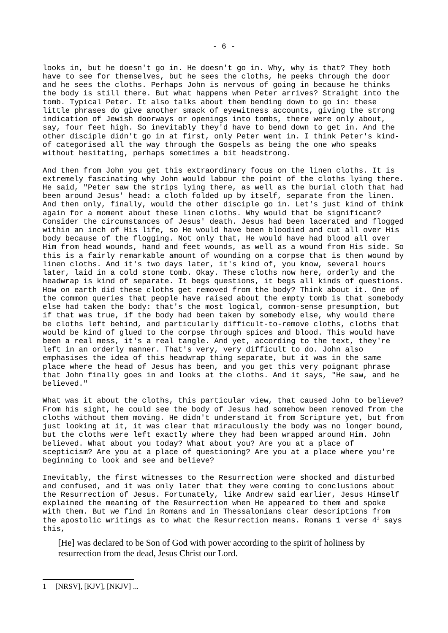looks in, but he doesn't go in. He doesn't go in. Why, why is that? They both have to see for themselves, but he sees the cloths, he peeks through the door and he sees the cloths. Perhaps John is nervous of going in because he thinks the body is still there. But what happens when Peter arrives? Straight into the tomb. Typical Peter. It also talks about them bending down to go in: these little phrases do give another smack of eyewitness accounts, giving the strong indication of Jewish doorways or openings into tombs, there were only about, say, four feet high. So inevitably they'd have to bend down to get in. And the other disciple didn't go in at first, only Peter went in. I think Peter's kindof categorised all the way through the Gospels as being the one who speaks without hesitating, perhaps sometimes a bit headstrong.

And then from John you get this extraordinary focus on the linen cloths. It is extremely fascinating why John would labour the point of the cloths lying there. He said, "Peter saw the strips lying there, as well as the burial cloth that had been around Jesus' head: a cloth folded up by itself, separate from the linen. And then only, finally, would the other disciple go in. Let's just kind of think again for a moment about these linen cloths. Why would that be significant? Consider the circumstances of Jesus' death. Jesus had been lacerated and flogged within an inch of His life, so He would have been bloodied and cut all over His body because of the flogging. Not only that, He would have had blood all over Him from head wounds, hand and feet wounds, as well as a wound from His side. So this is a fairly remarkable amount of wounding on a corpse that is then wound by linen cloths. And it's two days later, it's kind of, you know, several hours later, laid in a cold stone tomb. Okay. These cloths now here, orderly and the headwrap is kind of separate. It begs questions, it begs all kinds of questions. How on earth did these cloths get removed from the body? Think about it. One of the common queries that people have raised about the empty tomb is that somebody else had taken the body: that's the most logical, common-sense presumption, but if that was true, if the body had been taken by somebody else, why would there be cloths left behind, and particularly difficult-to-remove cloths, cloths that would be kind of glued to the corpse through spices and blood. This would have been a real mess, it's a real tangle. And yet, according to the text, they're left in an orderly manner. That's very, very difficult to do. John also emphasises the idea of this headwrap thing separate, but it was in the same place where the head of Jesus has been, and you get this very poignant phrase that John finally goes in and looks at the cloths. And it says, "He saw, and he believed."

What was it about the cloths, this particular view, that caused John to believe? From his sight, he could see the body of Jesus had somehow been removed from the cloths without them moving. He didn't understand it from Scripture yet, but from just looking at it, it was clear that miraculously the body was no longer bound, but the cloths were left exactly where they had been wrapped around Him. John believed. What about you today? What about you? Are you at a place of scepticism? Are you at a place of questioning? Are you at a place where you're beginning to look and see and believe?

Inevitably, the first witnesses to the Resurrection were shocked and disturbed and confused, and it was only later that they were coming to conclusions about the Resurrection of Jesus. Fortunately, like Andrew said earlier, Jesus Himself explained the meaning of the Resurrection when He appeared to them and spoke with them. But we find in Romans and in Thessalonians clear descriptions from the apostolic writings as to what the Resurrection means. Romans [1](#page-5-0) verse  $4<sup>1</sup>$  says this,

[He] was declared to be Son of God with power according to the spirit of holiness by resurrection from the dead, Jesus Christ our Lord.

<span id="page-5-0"></span><sup>1</sup> [NRSV], [KJV], [NKJV] ...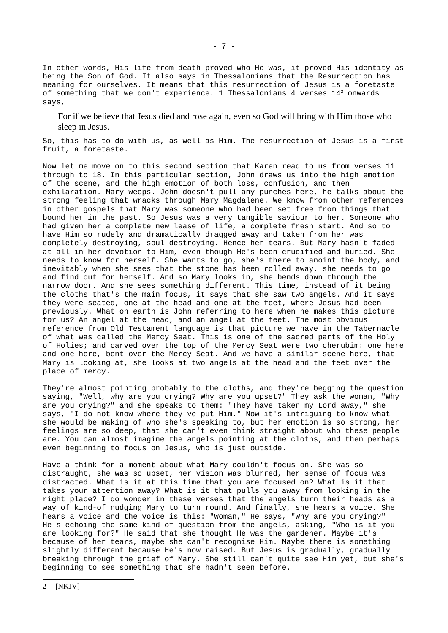In other words, His life from death proved who He was, it proved His identity as being the Son of God. It also says in Thessalonians that the Resurrection has meaning for ourselves. It means that this resurrection of Jesus is a foretaste of something that we don't experience. 1 Thessalonians 4 verses 14<sup>[2](#page-6-0)</sup> onwards says,

For if we believe that Jesus died and rose again, even so God will bring with Him those who sleep in Jesus.

So, this has to do with us, as well as Him. The resurrection of Jesus is a first fruit, a foretaste.

Now let me move on to this second section that Karen read to us from verses 11 through to 18. In this particular section, John draws us into the high emotion of the scene, and the high emotion of both loss, confusion, and then exhilaration. Mary weeps. John doesn't pull any punches here, he talks about the strong feeling that wracks through Mary Magdalene. We know from other references in other gospels that Mary was someone who had been set free from things that bound her in the past. So Jesus was a very tangible saviour to her. Someone who had given her a complete new lease of life, a complete fresh start. And so to have Him so rudely and dramatically dragged away and taken from her was completely destroying, soul-destroying. Hence her tears. But Mary hasn't faded at all in her devotion to Him, even though He's been crucified and buried. She needs to know for herself. She wants to go, she's there to anoint the body, and inevitably when she sees that the stone has been rolled away, she needs to go and find out for herself. And so Mary looks in, she bends down through the narrow door. And she sees something different. This time, instead of it being the cloths that's the main focus, it says that she saw two angels. And it says they were seated, one at the head and one at the feet, where Jesus had been previously. What on earth is John referring to here when he makes this picture for us? An angel at the head, and an angel at the feet. The most obvious reference from Old Testament language is that picture we have in the Tabernacle of what was called the Mercy Seat. This is one of the sacred parts of the Holy of Holies; and carved over the top of the Mercy Seat were two cherubim: one here and one here, bent over the Mercy Seat. And we have a similar scene here, that Mary is looking at, she looks at two angels at the head and the feet over the place of mercy.

They're almost pointing probably to the cloths, and they're begging the question saying, "Well, why are you crying? Why are you upset?" They ask the woman, "Why are you crying?" and she speaks to them: "They have taken my Lord away," she says, "I do not know where they've put Him." Now it's intriguing to know what she would be making of who she's speaking to, but her emotion is so strong, her feelings are so deep, that she can't even think straight about who these people are. You can almost imagine the angels pointing at the cloths, and then perhaps even beginning to focus on Jesus, who is just outside.

<span id="page-6-0"></span>Have a think for a moment about what Mary couldn't focus on. She was so distraught, she was so upset, her vision was blurred, her sense of focus was distracted. What is it at this time that you are focused on? What is it that takes your attention away? What is it that pulls you away from looking in the right place? I do wonder in these verses that the angels turn their heads as a way of kind-of nudging Mary to turn round. And finally, she hears a voice. She hears a voice and the voice is this: "Woman," He says, "Why are you crying?" He's echoing the same kind of question from the angels, asking, "Who is it you are looking for?" He said that she thought He was the gardener. Maybe it's because of her tears, maybe she can't recognise Him. Maybe there is something slightly different because He's now raised. But Jesus is gradually, gradually breaking through the grief of Mary. She still can't quite see Him yet, but she's beginning to see something that she hadn't seen before.

- 7 -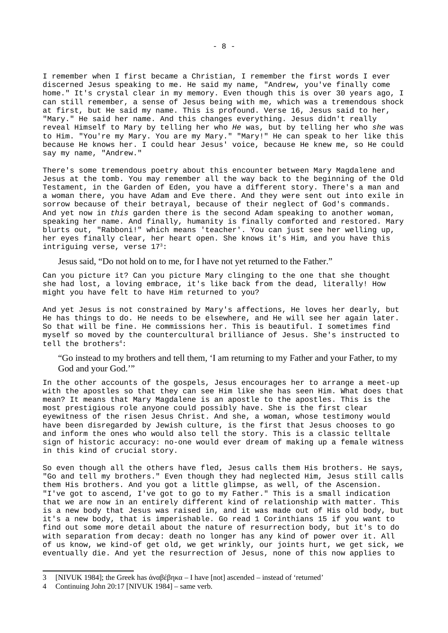I remember when I first became a Christian, I remember the first words I ever discerned Jesus speaking to me. He said my name, "Andrew, you've finally come home." It's crystal clear in my memory. Even though this is over 30 years ago, I can still remember, a sense of Jesus being with me, which was a tremendous shock at first, but He said my name. This is profound. Verse 16, Jesus said to her, "Mary." He said her name. And this changes everything. Jesus didn't really reveal Himself to Mary by telling her who *He* was, but by telling her who *she* was to Him. "You're my Mary. You are my Mary." "Mary!" He can speak to her like this because He knows her. I could hear Jesus' voice, because He knew me, so He could say my name, "Andrew."

There's some tremendous poetry about this encounter between Mary Magdalene and Jesus at the tomb. You may remember all the way back to the beginning of the Old Testament, in the Garden of Eden, you have a different story. There's a man and a woman there, you have Adam and Eve there. And they were sent out into exile in sorrow because of their betrayal, because of their neglect of God's commands. And yet now in *this* garden there is the second Adam speaking to another woman, speaking her name. And finally, humanity is finally comforted and restored. Mary blurts out, "Rabboni!" which means 'teacher'. You can just see her welling up, her eyes finally clear, her heart open. She knows it's Him, and you have this intriguing verse, verse 17[3](#page-7-0):

Jesus said, "Do not hold on to me, for I have not yet returned to the Father."

Can you picture it? Can you picture Mary clinging to the one that she thought she had lost, a loving embrace, it's like back from the dead, literally! How might you have felt to have Him returned to you?

And yet Jesus is not constrained by Mary's affections, He loves her dearly, but He has things to do. He needs to be elsewhere, and He will see her again later. So that will be fine. He commissions her. This is beautiful. I sometimes find myself so moved by the countercultural brilliance of Jesus. She's instructed to tell the brothers<sup>[4](#page-7-1)</sup>:

"Go instead to my brothers and tell them, 'I am returning to my Father and your Father, to my God and your God.'"

In the other accounts of the gospels, Jesus encourages her to arrange a meet-up with the apostles so that they can see Him like she has seen Him. What does that mean? It means that Mary Magdalene is an apostle to the apostles. This is the most prestigious role anyone could possibly have. She is the first clear eyewitness of the risen Jesus Christ. And she, a woman, whose testimony would have been disregarded by Jewish culture, is the first that Jesus chooses to go and inform the ones who would also tell the story. This is a classic telltale sign of historic accuracy: no-one would ever dream of making up a female witness in this kind of crucial story.

So even though all the others have fled, Jesus calls them His brothers. He says, "Go and tell my brothers." Even though they had neglected Him, Jesus still calls them His brothers. And you got a little glimpse, as well, of the Ascension. "I've got to ascend, I've got to go to my Father." This is a small indication that we are now in an entirely different kind of relationship with matter. This is a new body that Jesus was raised in, and it was made out of His old body, but it's a new body, that is imperishable. Go read 1 Corinthians 15 if you want to find out some more detail about the nature of resurrection body, but it's to do with separation from decay: death no longer has any kind of power over it. All of us know, we kind-of get old, we get wrinkly, our joints hurt, we get sick, we eventually die. And yet the resurrection of Jesus, none of this now applies to

<span id="page-7-0"></span><sup>3</sup> [NIVUK 1984]; the Greek has ἀναβέβηκα – I have [not] ascended – instead of 'returned'

<span id="page-7-1"></span><sup>4</sup> Continuing John 20:17 [NIVUK 1984] – same verb.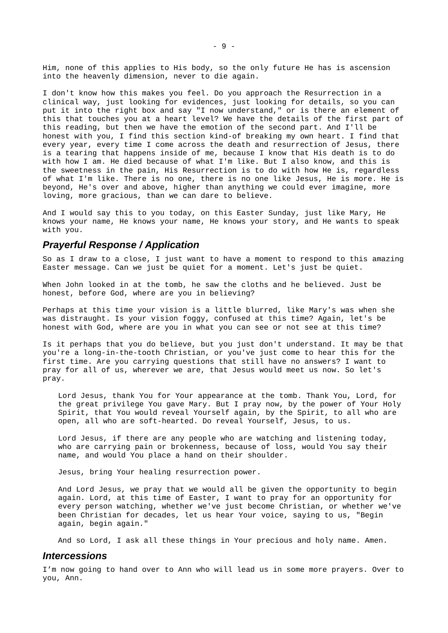Him, none of this applies to His body, so the only future He has is ascension into the heavenly dimension, never to die again.

I don't know how this makes you feel. Do you approach the Resurrection in a clinical way, just looking for evidences, just looking for details, so you can put it into the right box and say "I now understand," or is there an element of this that touches you at a heart level? We have the details of the first part of this reading, but then we have the emotion of the second part. And I'll be honest with you, I find this section kind-of breaking my own heart. I find that every year, every time I come across the death and resurrection of Jesus, there is a tearing that happens inside of me, because I know that His death is to do with how I am. He died because of what I'm like. But I also know, and this is the sweetness in the pain, His Resurrection is to do with how He is, regardless of what I'm like. There is no one, there is no one like Jesus, He is more. He is beyond, He's over and above, higher than anything we could ever imagine, more loving, more gracious, than we can dare to believe.

And I would say this to you today, on this Easter Sunday, just like Mary, He knows your name, He knows your name, He knows your story, and He wants to speak with you.

## <span id="page-8-1"></span>*Prayerful Response / Application*

So as I draw to a close, I just want to have a moment to respond to this amazing Easter message. Can we just be quiet for a moment. Let's just be quiet.

When John looked in at the tomb, he saw the cloths and he believed. Just be honest, before God, where are you in believing?

Perhaps at this time your vision is a little blurred, like Mary's was when she was distraught. Is your vision foggy, confused at this time? Again, let's be honest with God, where are you in what you can see or not see at this time?

Is it perhaps that you do believe, but you just don't understand. It may be that you're a long-in-the-tooth Christian, or you've just come to hear this for the first time. Are you carrying questions that still have no answers? I want to pray for all of us, wherever we are, that Jesus would meet us now. So let's pray.

Lord Jesus, thank You for Your appearance at the tomb. Thank You, Lord, for the great privilege You gave Mary. But I pray now, by the power of Your Holy Spirit, that You would reveal Yourself again, by the Spirit, to all who are open, all who are soft-hearted. Do reveal Yourself, Jesus, to us.

Lord Jesus, if there are any people who are watching and listening today, who are carrying pain or brokenness, because of loss, would You say their name, and would You place a hand on their shoulder.

Jesus, bring Your healing resurrection power.

And Lord Jesus, we pray that we would all be given the opportunity to begin again. Lord, at this time of Easter, I want to pray for an opportunity for every person watching, whether we've just become Christian, or whether we've been Christian for decades, let us hear Your voice, saying to us, "Begin again, begin again."

And so Lord, I ask all these things in Your precious and holy name. Amen.

### <span id="page-8-0"></span>*Intercessions*

I'm now going to hand over to Ann who will lead us in some more prayers. Over to you, Ann.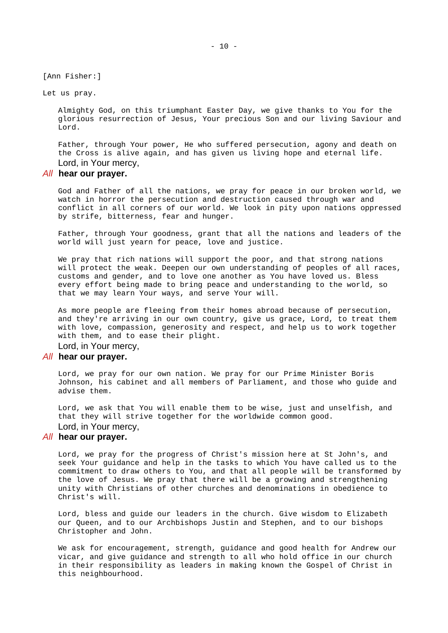[Ann Fisher:]

#### Let us pray.

Almighty God, on this triumphant Easter Day, we give thanks to You for the glorious resurrection of Jesus, Your precious Son and our living Saviour and Lord.

Father, through Your power, He who suffered persecution, agony and death on the Cross is alive again, and has given us living hope and eternal life. Lord, in Your mercy,

### *All* **hear our prayer.**

God and Father of all the nations, we pray for peace in our broken world, we watch in horror the persecution and destruction caused through war and conflict in all corners of our world. We look in pity upon nations oppressed by strife, bitterness, fear and hunger.

Father, through Your goodness, grant that all the nations and leaders of the world will just yearn for peace, love and justice.

We pray that rich nations will support the poor, and that strong nations will protect the weak. Deepen our own understanding of peoples of all races, customs and gender, and to love one another as You have loved us. Bless every effort being made to bring peace and understanding to the world, so that we may learn Your ways, and serve Your will.

As more people are fleeing from their homes abroad because of persecution, and they're arriving in our own country, give us grace, Lord, to treat them with love, compassion, generosity and respect, and help us to work together with them, and to ease their plight.

Lord, in Your mercy,

#### *All* **hear our prayer.**

Lord, we pray for our own nation. We pray for our Prime Minister Boris Johnson, his cabinet and all members of Parliament, and those who guide and advise them.

Lord, we ask that You will enable them to be wise, just and unselfish, and that they will strive together for the worldwide common good. Lord, in Your mercy,

#### *All* **hear our prayer.**

Lord, we pray for the progress of Christ's mission here at St John's, and seek Your guidance and help in the tasks to which You have called us to the commitment to draw others to You, and that all people will be transformed by the love of Jesus. We pray that there will be a growing and strengthening unity with Christians of other churches and denominations in obedience to Christ's will.

Lord, bless and guide our leaders in the church. Give wisdom to Elizabeth our Queen, and to our Archbishops Justin and Stephen, and to our bishops Christopher and John.

We ask for encouragement, strength, guidance and good health for Andrew our vicar, and give guidance and strength to all who hold office in our church in their responsibility as leaders in making known the Gospel of Christ in this neighbourhood.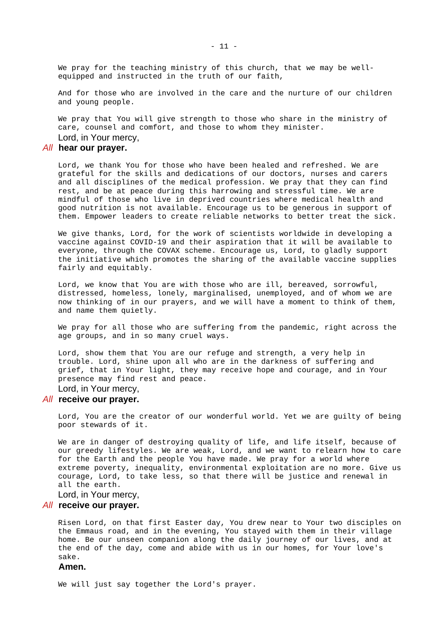We pray for the teaching ministry of this church, that we may be wellequipped and instructed in the truth of our faith,

And for those who are involved in the care and the nurture of our children and young people.

We pray that You will give strength to those who share in the ministry of care, counsel and comfort, and those to whom they minister.

Lord, in Your mercy,

## *All* **hear our prayer.**

Lord, we thank You for those who have been healed and refreshed. We are grateful for the skills and dedications of our doctors, nurses and carers and all disciplines of the medical profession. We pray that they can find rest, and be at peace during this harrowing and stressful time. We are mindful of those who live in deprived countries where medical health and good nutrition is not available. Encourage us to be generous in support of them. Empower leaders to create reliable networks to better treat the sick.

We give thanks, Lord, for the work of scientists worldwide in developing a vaccine against COVID-19 and their aspiration that it will be available to everyone, through the COVAX scheme. Encourage us, Lord, to gladly support the initiative which promotes the sharing of the available vaccine supplies fairly and equitably.

Lord, we know that You are with those who are ill, bereaved, sorrowful, distressed, homeless, lonely, marginalised, unemployed, and of whom we are now thinking of in our prayers, and we will have a moment to think of them, and name them quietly.

We pray for all those who are suffering from the pandemic, right across the age groups, and in so many cruel ways.

Lord, show them that You are our refuge and strength, a very help in trouble. Lord, shine upon all who are in the darkness of suffering and grief, that in Your light, they may receive hope and courage, and in Your presence may find rest and peace.

Lord, in Your mercy,

### *All* **receive our prayer.**

Lord, You are the creator of our wonderful world. Yet we are guilty of being poor stewards of it.

We are in danger of destroying quality of life, and life itself, because of our greedy lifestyles. We are weak, Lord, and we want to relearn how to care for the Earth and the people You have made. We pray for a world where extreme poverty, inequality, environmental exploitation are no more. Give us courage, Lord, to take less, so that there will be justice and renewal in all the earth.

Lord, in Your mercy,

### *All* **receive our prayer.**

Risen Lord, on that first Easter day, You drew near to Your two disciples on the Emmaus road, and in the evening, You stayed with them in their village home. Be our unseen companion along the daily journey of our lives, and at the end of the day, come and abide with us in our homes, for Your love's sake.

#### **Amen.**

We will just say together the Lord's prayer.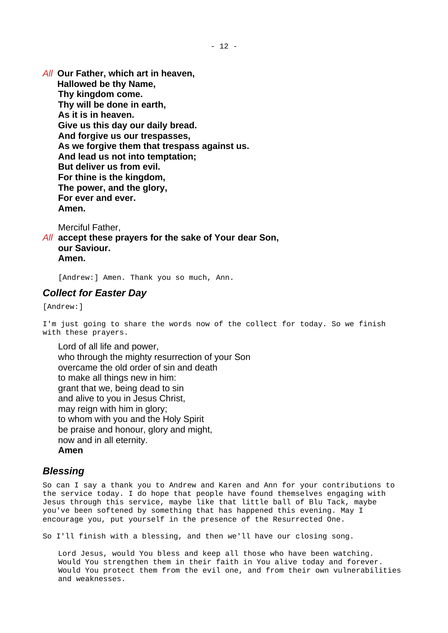*All* **Our Father, which art in heaven, Hallowed be thy Name, Thy kingdom come. Thy will be done in earth, As it is in heaven. Give us this day our daily bread. And forgive us our trespasses, As we forgive them that trespass against us. And lead us not into temptation; But deliver us from evil. For thine is the kingdom, The power, and the glory, For ever and ever. Amen.**

Merciful Father,

*All* **accept these prayers for the sake of Your dear Son, our Saviour. Amen.**

[Andrew:] Amen. Thank you so much, Ann.

## <span id="page-11-1"></span>*Collect for Easter Day*

[Andrew:]

I'm just going to share the words now of the collect for today. So we finish with these prayers.

Lord of all life and power, who through the mighty resurrection of your Son overcame the old order of sin and death to make all things new in him: grant that we, being dead to sin and alive to you in Jesus Christ, may reign with him in glory: to whom with you and the Holy Spirit be praise and honour, glory and might, now and in all eternity. **Amen**

## <span id="page-11-0"></span>*Blessing*

So can I say a thank you to Andrew and Karen and Ann for your contributions to the service today. I do hope that people have found themselves engaging with Jesus through this service, maybe like that little ball of Blu Tack, maybe you've been softened by something that has happened this evening. May I encourage you, put yourself in the presence of the Resurrected One.

So I'll finish with a blessing, and then we'll have our closing song.

Lord Jesus, would You bless and keep all those who have been watching. Would You strengthen them in their faith in You alive today and forever. Would You protect them from the evil one, and from their own vulnerabilities and weaknesses.